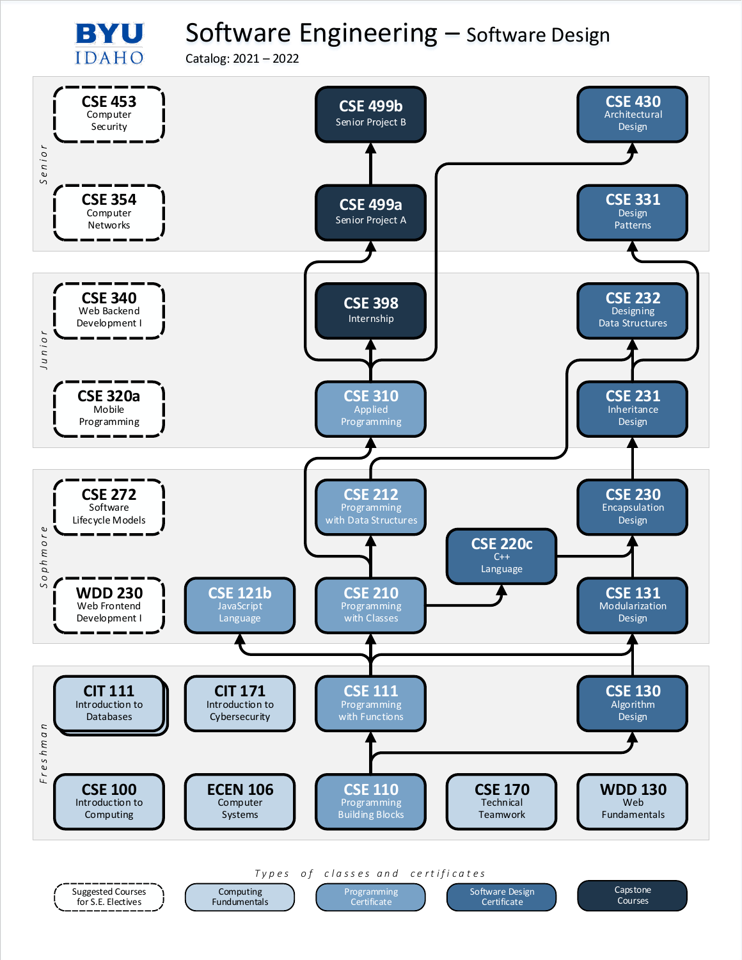## Software Engineering – Software Design

Catalog: 2021 – 2022

BYU **IDAHO** 

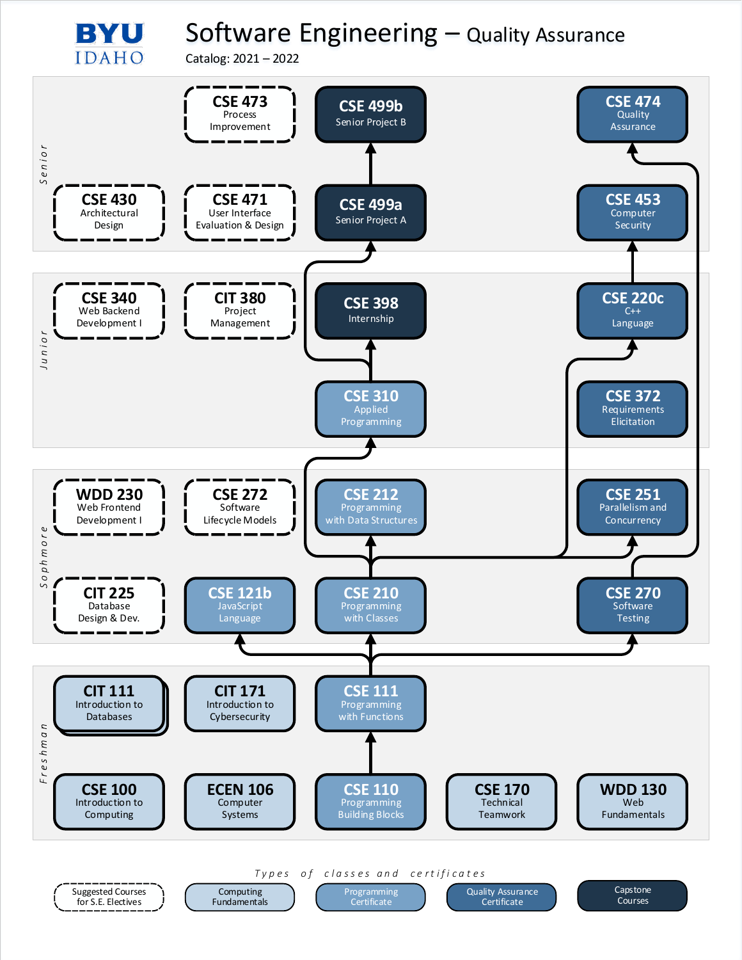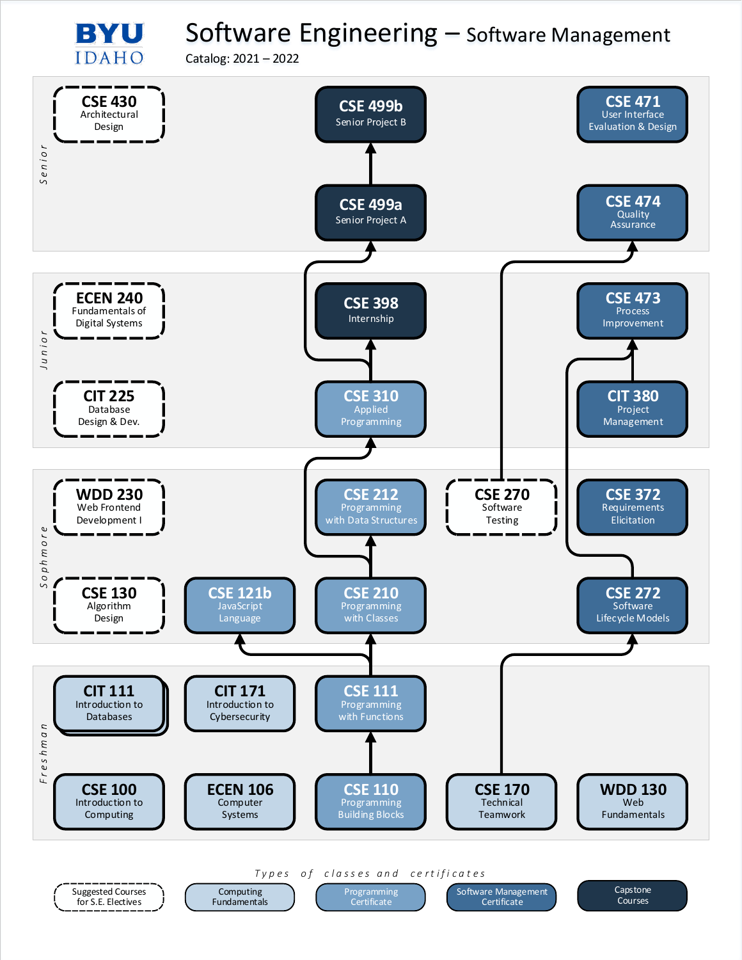Software Engineering – Software Management

Catalog: 2021 – 2022

BYU **IDAHO** 

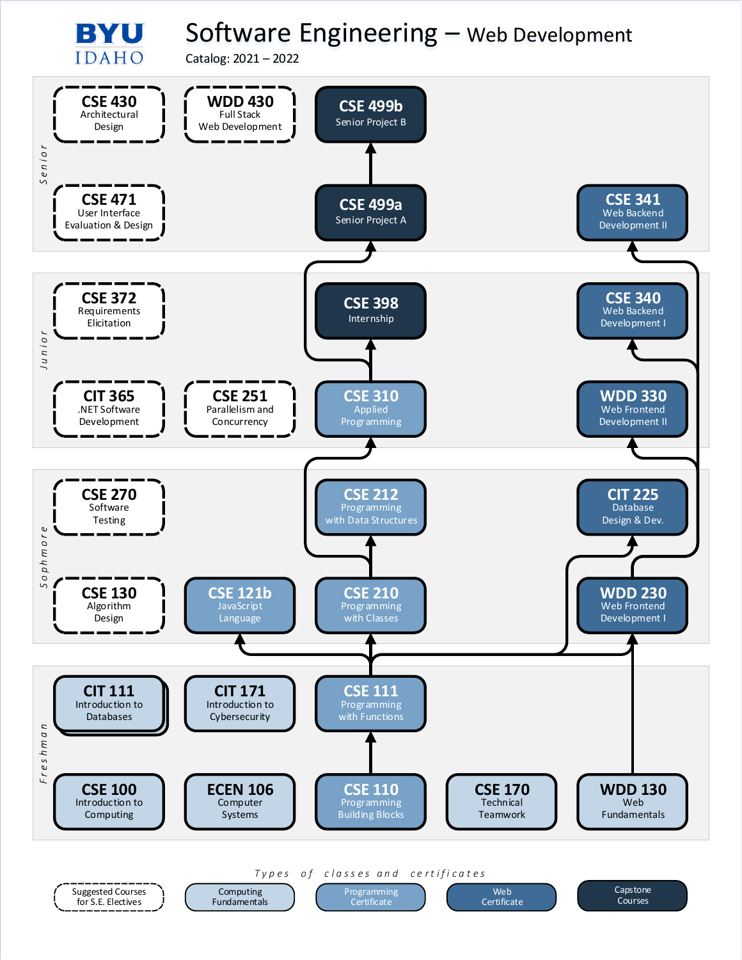